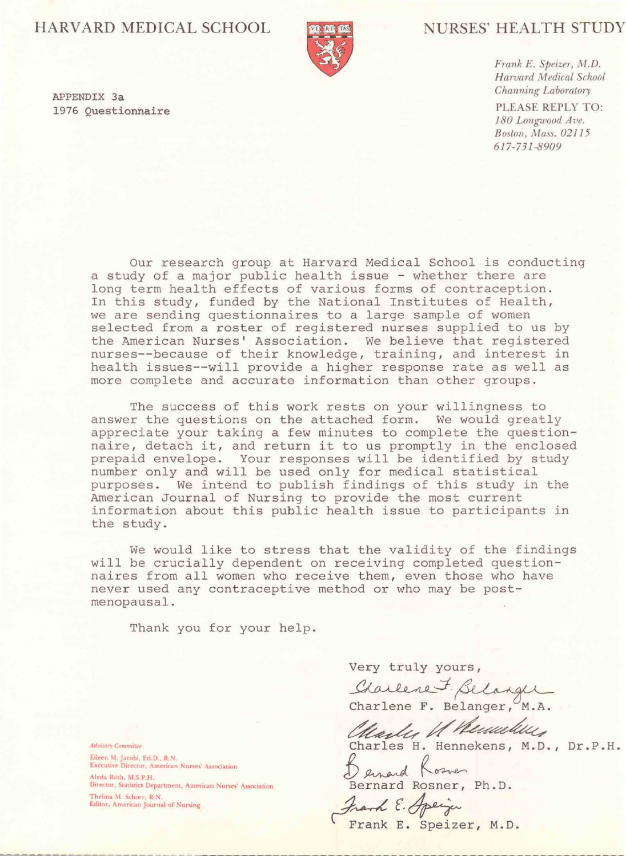# HARVARD MEDICAL SCHOOL



# **NURSES' HEALTH STUDY**

617-731-8909

Frank E. Speizer, M.D. Harvard Medical School Channing Laboratory PLEASE REPLY TO: 180 Longwood Ave. Boston, Mass. 02115

APPENDIX 3a 1976 Questionnaire

> Our research group at Harvard Medical School is conducting a study of a major public health issue - whether there are long term health effects of various forms of contraception. In this study, funded by the National Institutes of Health, we are sending questionnaires to a large sample of women selected from a roster of registered nurses supplied to us by the American Nurses' Association. We believe that registered

nurses--because of their knowledge, training, and interest in health issues--will provide a higher response rate as well as more complete and accurate information than other groups.

The success of this work rests on your willingness to answer the questions on the attached form. We would greatly appreciate your taking a few minutes to complete the questionnaire, detach it, and return it to us promptly in the enclosed prepaid envelope. Your responses will be identified by study number only and will be used only for medical statistical purposes. We intend to publish findings of this study in the American Journal of Nursing to provide the most current information about this public health issue to participants in the study.

We would like to stress that the validity of the findings will be crucially dependent on receiving completed questionnaires from all women who receive them, even those who have never used any contraceptive method or who may be postmenopausal.

Thank you for your help.

Very truly yours,

Charlene F. Belanger

Advisory Committee Eileen M. Jacobi, Ed.D., R.N. Executive Director, American Nurses' Association

Aleda Roth, M.S.P.H. Director, Statistics Department, American Nurses' Association

Thelma M. Schorr, R.N. Editor, American Journal of Nursing Charlene F. Belanger, M.A. Marly U Renner Charles H. Hennekens, M.D., Dr.P.H. Bernard Rosner, Ph.D.

Frank E. Speizer, M.D.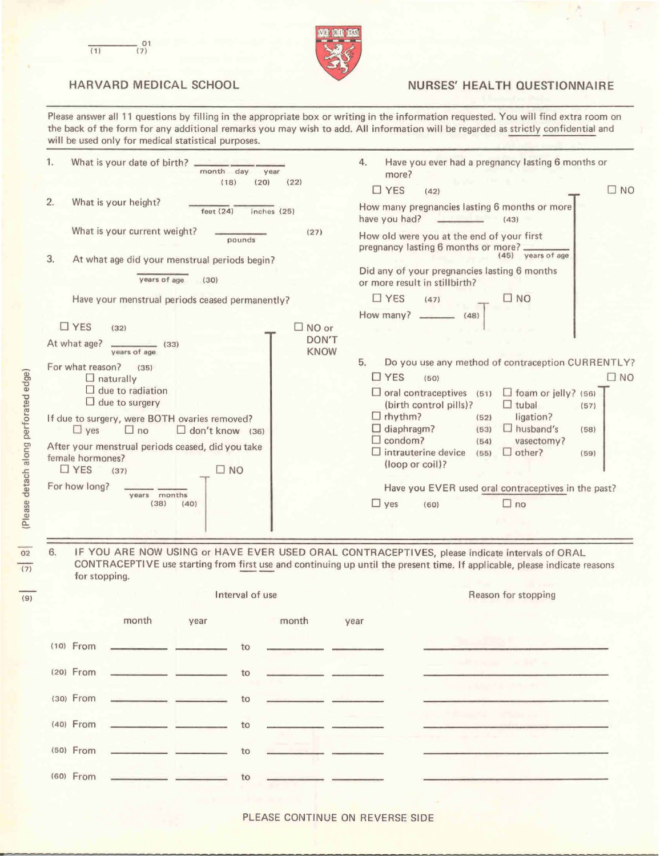



## HARVARD MEDICAL SCHOOL NURSES' HEALTH QUESTIONNAIRE

Please answer all 11 questions by filling in the appropriate box or writing in the information requested. You will find extra room on the back of the form for any additional remarks you may wish to add. All information will be regarded as strictly confidential and will be used only for medical statistical purposes.

| 1. | What is your date of birth? _______<br>month day<br>year<br>(22)<br>(18)<br>(20)                      | Have you ever had a pregnancy lasting 6 months or<br>4.<br>more?                 |  |  |
|----|-------------------------------------------------------------------------------------------------------|----------------------------------------------------------------------------------|--|--|
|    |                                                                                                       | $\Box$ YES<br>$\square$ NO<br>(42)                                               |  |  |
| 2. | What is your height?<br>feet $(24)$<br>inches (25)                                                    | How many pregnancies lasting 6 months or more<br>have you had?<br>(43)           |  |  |
|    | What is your current weight?<br>(27)<br>pounds                                                        | How old were you at the end of your first<br>pregnancy lasting 6 months or more? |  |  |
| 3. | At what age did your menstrual periods begin?                                                         | years of age<br>(45)                                                             |  |  |
|    | years of age<br>(30)                                                                                  | Did any of your pregnancies lasting 6 months<br>or more result in stillbirth?    |  |  |
|    | Have your menstrual periods ceased permanently?                                                       | $\square$ NO<br>$\Box$ YES<br>(47)                                               |  |  |
|    |                                                                                                       | How many?<br>(48)                                                                |  |  |
|    | $\Box$ YES<br>$\square$ NO or<br>(32)<br>DON'T<br>At what age?<br>(33)<br><b>KNOW</b><br>years of age |                                                                                  |  |  |

| Do you use any method of contraception CURRENTLY?<br>5.<br>(35)<br>$\Box$ YES<br>$\square$ NO<br>$\Box$ naturally<br>(50)<br>$\Box$ due to radiation<br>$\Box$ foam or jelly? (56)<br>$\Box$ oral contraceptives (51)<br>$\Box$ due to surgery<br>(birth control pills)?<br>$\Box$ tubal<br>(57)<br>$\Box$ rhythm?<br>ligation?<br>(52)<br>If due to surgery, were BOTH ovaries removed?<br>$\Box$ diaphragm?<br>$\Box$ husband's<br>(53)<br>(58)<br>$\Box$ don't know (36)<br>$\Box$ yes<br>$\Box$ no<br>$\Box$ condom?<br>vasectomy?<br>(54)<br>After your menstrual periods ceased, did you take<br>$\Box$ intrauterine device<br>$\Box$ other?<br>(55)<br>(59)<br>(loop or coil)?<br>$\Box$ YES<br>$\square$ NO<br>(37)<br>Have you EVER used oral contraceptives in the past?<br>months<br>years<br>$\Box$ yes<br>$\Box$ no<br>(38)<br>(40)<br>(60)<br>IF YOU ARE NOW USING or HAVE EVER USED ORAL CONTRACEPTIVES, please indicate intervals of ORAL<br>CONTRACEPTIVE use starting from first use and continuing up until the present time. If applicable, please indicate reasons<br>for stopping.<br>Interval of use<br>Reason for stopping<br>month<br>month<br>year<br>year<br>$(10)$ From<br>$(20)$ From<br>to<br>(30) From | For what reason? |  |  |
|---------------------------------------------------------------------------------------------------------------------------------------------------------------------------------------------------------------------------------------------------------------------------------------------------------------------------------------------------------------------------------------------------------------------------------------------------------------------------------------------------------------------------------------------------------------------------------------------------------------------------------------------------------------------------------------------------------------------------------------------------------------------------------------------------------------------------------------------------------------------------------------------------------------------------------------------------------------------------------------------------------------------------------------------------------------------------------------------------------------------------------------------------------------------------------------------------------------------------------------|------------------|--|--|
|                                                                                                                                                                                                                                                                                                                                                                                                                                                                                                                                                                                                                                                                                                                                                                                                                                                                                                                                                                                                                                                                                                                                                                                                                                       |                  |  |  |
|                                                                                                                                                                                                                                                                                                                                                                                                                                                                                                                                                                                                                                                                                                                                                                                                                                                                                                                                                                                                                                                                                                                                                                                                                                       |                  |  |  |
|                                                                                                                                                                                                                                                                                                                                                                                                                                                                                                                                                                                                                                                                                                                                                                                                                                                                                                                                                                                                                                                                                                                                                                                                                                       |                  |  |  |
|                                                                                                                                                                                                                                                                                                                                                                                                                                                                                                                                                                                                                                                                                                                                                                                                                                                                                                                                                                                                                                                                                                                                                                                                                                       |                  |  |  |
|                                                                                                                                                                                                                                                                                                                                                                                                                                                                                                                                                                                                                                                                                                                                                                                                                                                                                                                                                                                                                                                                                                                                                                                                                                       |                  |  |  |
|                                                                                                                                                                                                                                                                                                                                                                                                                                                                                                                                                                                                                                                                                                                                                                                                                                                                                                                                                                                                                                                                                                                                                                                                                                       |                  |  |  |
|                                                                                                                                                                                                                                                                                                                                                                                                                                                                                                                                                                                                                                                                                                                                                                                                                                                                                                                                                                                                                                                                                                                                                                                                                                       |                  |  |  |
|                                                                                                                                                                                                                                                                                                                                                                                                                                                                                                                                                                                                                                                                                                                                                                                                                                                                                                                                                                                                                                                                                                                                                                                                                                       | female hormones? |  |  |
|                                                                                                                                                                                                                                                                                                                                                                                                                                                                                                                                                                                                                                                                                                                                                                                                                                                                                                                                                                                                                                                                                                                                                                                                                                       |                  |  |  |
|                                                                                                                                                                                                                                                                                                                                                                                                                                                                                                                                                                                                                                                                                                                                                                                                                                                                                                                                                                                                                                                                                                                                                                                                                                       | For how long?    |  |  |
|                                                                                                                                                                                                                                                                                                                                                                                                                                                                                                                                                                                                                                                                                                                                                                                                                                                                                                                                                                                                                                                                                                                                                                                                                                       |                  |  |  |
|                                                                                                                                                                                                                                                                                                                                                                                                                                                                                                                                                                                                                                                                                                                                                                                                                                                                                                                                                                                                                                                                                                                                                                                                                                       |                  |  |  |
|                                                                                                                                                                                                                                                                                                                                                                                                                                                                                                                                                                                                                                                                                                                                                                                                                                                                                                                                                                                                                                                                                                                                                                                                                                       |                  |  |  |
|                                                                                                                                                                                                                                                                                                                                                                                                                                                                                                                                                                                                                                                                                                                                                                                                                                                                                                                                                                                                                                                                                                                                                                                                                                       |                  |  |  |
|                                                                                                                                                                                                                                                                                                                                                                                                                                                                                                                                                                                                                                                                                                                                                                                                                                                                                                                                                                                                                                                                                                                                                                                                                                       |                  |  |  |
|                                                                                                                                                                                                                                                                                                                                                                                                                                                                                                                                                                                                                                                                                                                                                                                                                                                                                                                                                                                                                                                                                                                                                                                                                                       |                  |  |  |
|                                                                                                                                                                                                                                                                                                                                                                                                                                                                                                                                                                                                                                                                                                                                                                                                                                                                                                                                                                                                                                                                                                                                                                                                                                       | 6.               |  |  |
|                                                                                                                                                                                                                                                                                                                                                                                                                                                                                                                                                                                                                                                                                                                                                                                                                                                                                                                                                                                                                                                                                                                                                                                                                                       |                  |  |  |
| to                                                                                                                                                                                                                                                                                                                                                                                                                                                                                                                                                                                                                                                                                                                                                                                                                                                                                                                                                                                                                                                                                                                                                                                                                                    |                  |  |  |



### PLEASE CONTINUE ON REVERSE SIDE